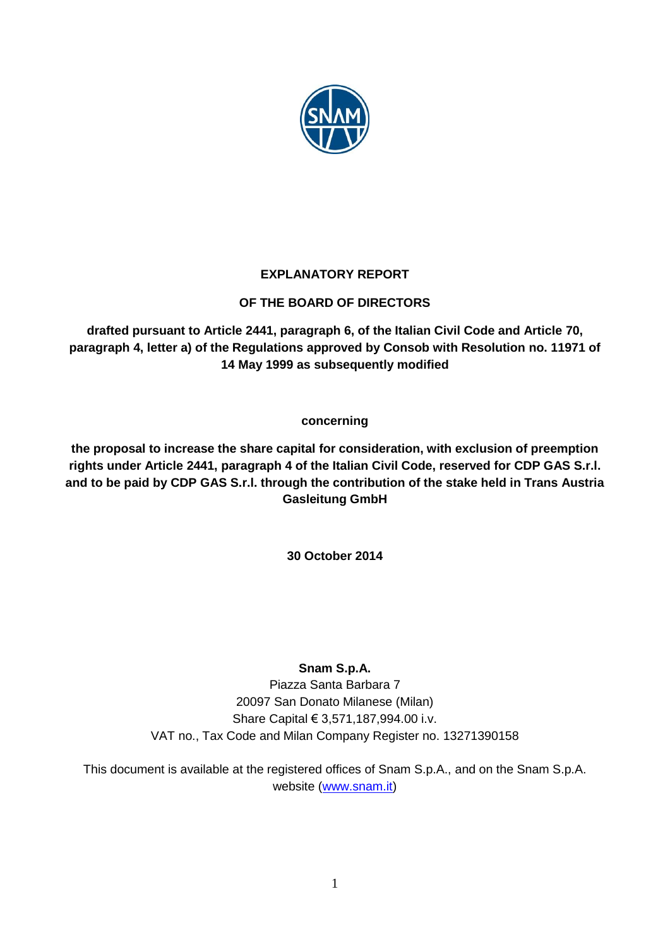

## **EXPLANATORY REPORT**

## **OF THE BOARD OF DIRECTORS**

**drafted pursuant to Article 2441, paragraph 6, of the Italian Civil Code and Article 70, paragraph 4, letter a) of the Regulations approved by Consob with Resolution no. 11971 of 14 May 1999 as subsequently modified**

## **concerning**

**the proposal to increase the share capital for consideration, with exclusion of preemption rights under Article 2441, paragraph 4 of the Italian Civil Code, reserved for CDP GAS S.r.l. and to be paid by CDP GAS S.r.l. through the contribution of the stake held in Trans Austria Gasleitung GmbH**

**30 October 2014**

# **Snam S.p.A.**

Piazza Santa Barbara 7 20097 San Donato Milanese (Milan) Share Capital € 3,571,187,994.00 i.v. VAT no., Tax Code and Milan Company Register no. 13271390158

This document is available at the registered offices of Snam S.p.A., and on the Snam S.p.A. website [\(www.snam.it\)](http://www.snam.it/)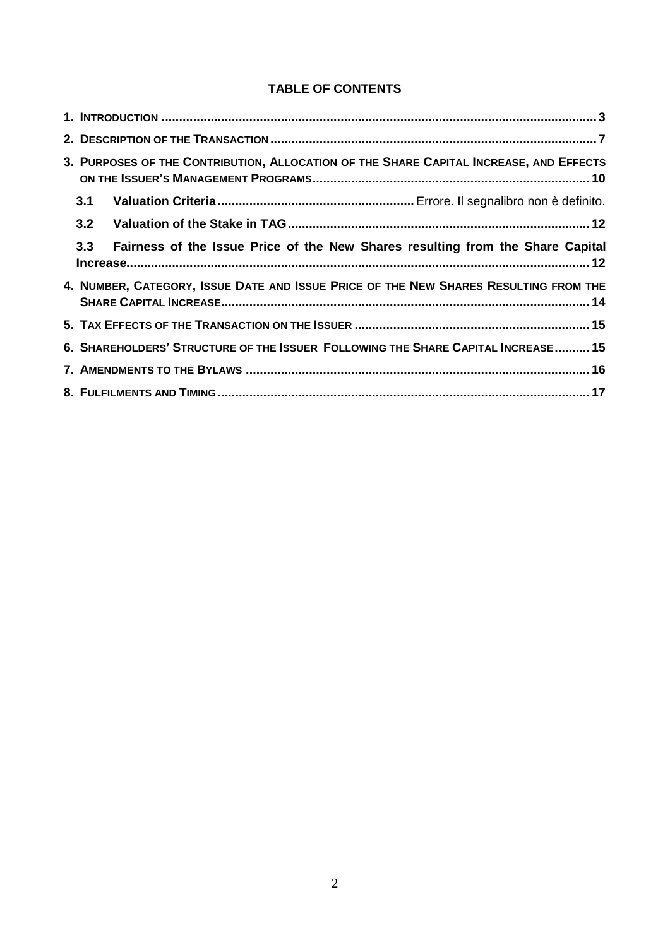## **TABLE OF CONTENTS**

| 3. PURPOSES OF THE CONTRIBUTION, ALLOCATION OF THE SHARE CAPITAL INCREASE, AND EFFECTS |                                                                                       |  |
|----------------------------------------------------------------------------------------|---------------------------------------------------------------------------------------|--|
|                                                                                        | 3.1                                                                                   |  |
|                                                                                        | 3.2                                                                                   |  |
|                                                                                        | 3.3<br>Fairness of the Issue Price of the New Shares resulting from the Share Capital |  |
|                                                                                        | 4. NUMBER, CATEGORY, ISSUE DATE AND ISSUE PRICE OF THE NEW SHARES RESULTING FROM THE  |  |
|                                                                                        |                                                                                       |  |
|                                                                                        | 6. SHAREHOLDERS' STRUCTURE OF THE ISSUER FOLLOWING THE SHARE CAPITAL INCREASE 15      |  |
|                                                                                        |                                                                                       |  |
|                                                                                        |                                                                                       |  |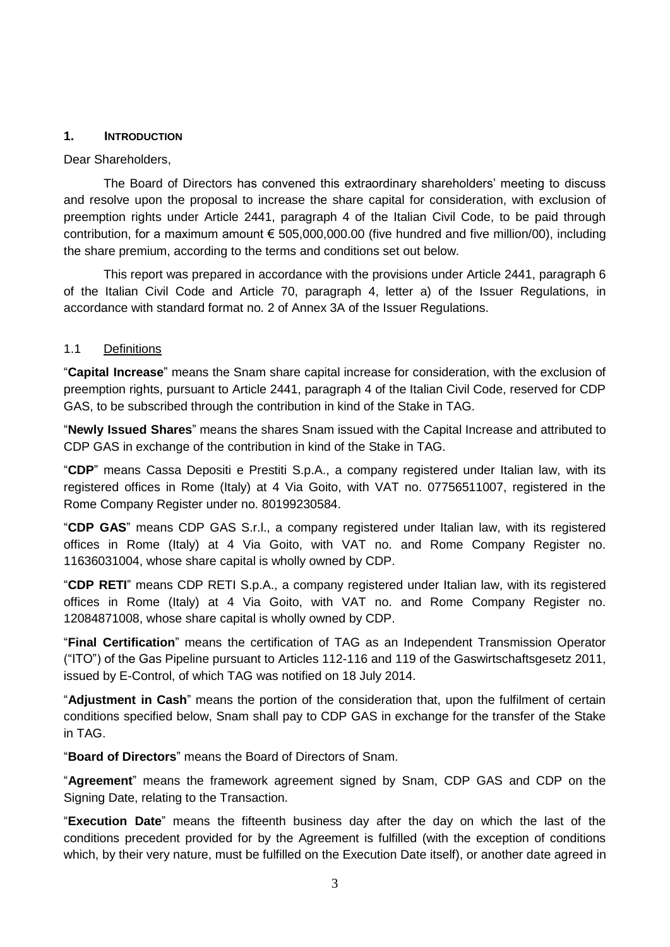#### <span id="page-2-0"></span>**1. INTRODUCTION**

Dear Shareholders,

The Board of Directors has convened this extraordinary shareholders' meeting to discuss and resolve upon the proposal to increase the share capital for consideration, with exclusion of preemption rights under Article 2441, paragraph 4 of the Italian Civil Code, to be paid through contribution, for a maximum amount € 505,000,000.00 (five hundred and five million/00), including the share premium, according to the terms and conditions set out below.

This report was prepared in accordance with the provisions under Article 2441, paragraph 6 of the Italian Civil Code and Article 70, paragraph 4, letter a) of the Issuer Regulations, in accordance with standard format no. 2 of Annex 3A of the Issuer Regulations.

#### 1.1 Definitions

"**Capital Increase**" means the Snam share capital increase for consideration, with the exclusion of preemption rights, pursuant to Article 2441, paragraph 4 of the Italian Civil Code, reserved for CDP GAS, to be subscribed through the contribution in kind of the Stake in TAG.

"**Newly Issued Shares**" means the shares Snam issued with the Capital Increase and attributed to CDP GAS in exchange of the contribution in kind of the Stake in TAG.

"**CDP**" means Cassa Depositi e Prestiti S.p.A., a company registered under Italian law, with its registered offices in Rome (Italy) at 4 Via Goito, with VAT no. 07756511007, registered in the Rome Company Register under no. 80199230584.

"**CDP GAS**" means CDP GAS S.r.l., a company registered under Italian law, with its registered offices in Rome (Italy) at 4 Via Goito, with VAT no. and Rome Company Register no. 11636031004, whose share capital is wholly owned by CDP.

"**CDP RETI**" means CDP RETI S.p.A., a company registered under Italian law, with its registered offices in Rome (Italy) at 4 Via Goito, with VAT no. and Rome Company Register no. 12084871008, whose share capital is wholly owned by CDP.

"**Final Certification**" means the certification of TAG as an Independent Transmission Operator ("ITO") of the Gas Pipeline pursuant to Articles 112-116 and 119 of the Gaswirtschaftsgesetz 2011, issued by E-Control, of which TAG was notified on 18 July 2014.

"**Adjustment in Cash**" means the portion of the consideration that, upon the fulfilment of certain conditions specified below, Snam shall pay to CDP GAS in exchange for the transfer of the Stake in TAG.

"**Board of Directors**" means the Board of Directors of Snam.

"**Agreement**" means the framework agreement signed by Snam, CDP GAS and CDP on the Signing Date, relating to the Transaction.

"**Execution Date**" means the fifteenth business day after the day on which the last of the conditions precedent provided for by the Agreement is fulfilled (with the exception of conditions which, by their very nature, must be fulfilled on the Execution Date itself), or another date agreed in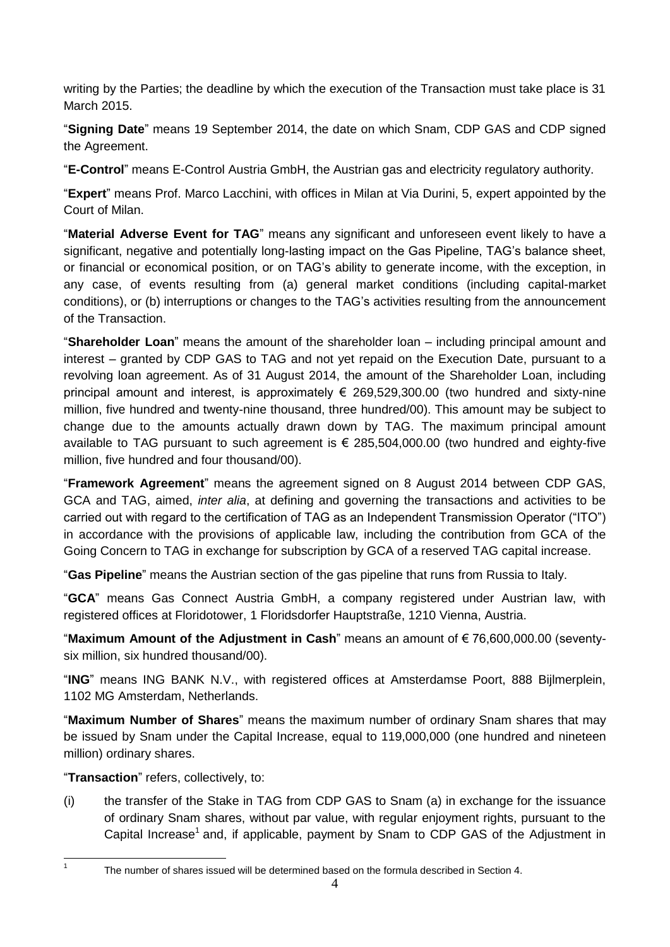writing by the Parties; the deadline by which the execution of the Transaction must take place is 31 March 2015.

"**Signing Date**" means 19 September 2014, the date on which Snam, CDP GAS and CDP signed the Agreement.

"**E-Control**" means E-Control Austria GmbH, the Austrian gas and electricity regulatory authority.

"**Expert**" means Prof. Marco Lacchini, with offices in Milan at Via Durini, 5, expert appointed by the Court of Milan.

"**Material Adverse Event for TAG**" means any significant and unforeseen event likely to have a significant, negative and potentially long-lasting impact on the Gas Pipeline, TAG's balance sheet, or financial or economical position, or on TAG's ability to generate income, with the exception, in any case, of events resulting from (a) general market conditions (including capital-market conditions), or (b) interruptions or changes to the TAG's activities resulting from the announcement of the Transaction.

"**Shareholder Loan**" means the amount of the shareholder loan – including principal amount and interest – granted by CDP GAS to TAG and not yet repaid on the Execution Date, pursuant to a revolving loan agreement. As of 31 August 2014, the amount of the Shareholder Loan, including principal amount and interest, is approximately  $\epsilon$  269,529,300.00 (two hundred and sixty-nine million, five hundred and twenty-nine thousand, three hundred/00). This amount may be subject to change due to the amounts actually drawn down by TAG. The maximum principal amount available to TAG pursuant to such agreement is € 285,504,000.00 (two hundred and eighty-five million, five hundred and four thousand/00).

"**Framework Agreement**" means the agreement signed on 8 August 2014 between CDP GAS, GCA and TAG, aimed, *inter alia*, at defining and governing the transactions and activities to be carried out with regard to the certification of TAG as an Independent Transmission Operator ("ITO") in accordance with the provisions of applicable law, including the contribution from GCA of the Going Concern to TAG in exchange for subscription by GCA of a reserved TAG capital increase.

"**Gas Pipeline**" means the Austrian section of the gas pipeline that runs from Russia to Italy.

"**GCA**" means Gas Connect Austria GmbH, a company registered under Austrian law, with registered offices at Floridotower, 1 Floridsdorfer Hauptstraße, 1210 Vienna, Austria.

"**Maximum Amount of the Adjustment in Cash**" means an amount of € 76,600,000.00 (seventysix million, six hundred thousand/00).

"**ING**" means ING BANK N.V., with registered offices at Amsterdamse Poort, 888 Bijlmerplein, 1102 MG Amsterdam, Netherlands.

"**Maximum Number of Shares**" means the maximum number of ordinary Snam shares that may be issued by Snam under the Capital Increase, equal to 119,000,000 (one hundred and nineteen million) ordinary shares.

"**Transaction**" refers, collectively, to:

(i) the transfer of the Stake in TAG from CDP GAS to Snam (a) in exchange for the issuance of ordinary Snam shares, without par value, with regular enjoyment rights, pursuant to the Capital Increase<sup>1</sup> and, if applicable, payment by Snam to CDP GAS of the Adjustment in

-<br>1

The number of shares issued will be determined based on the formula described in Section 4.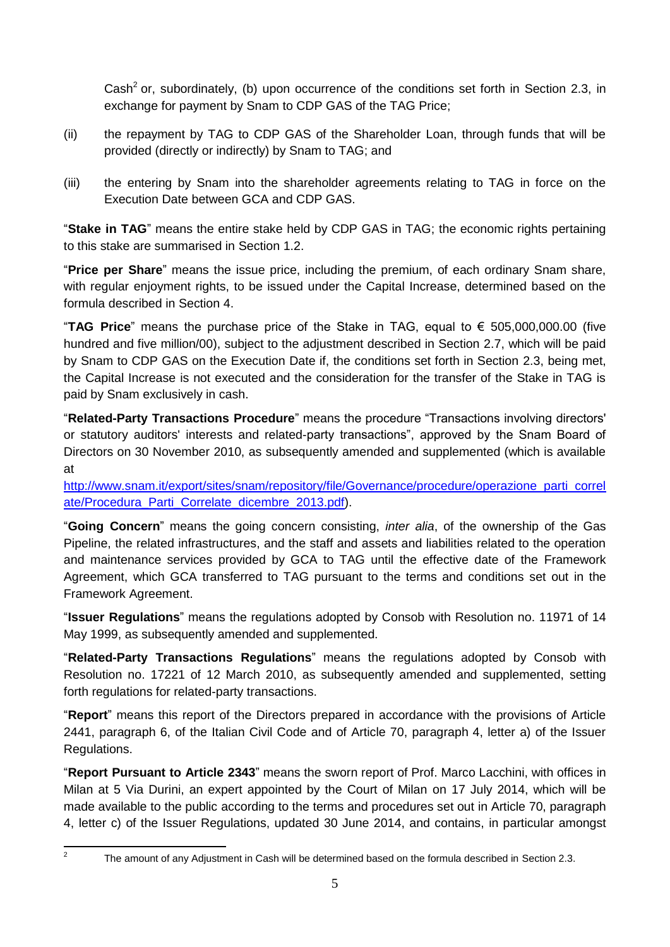Cash<sup>2</sup> or, subordinately, (b) upon occurrence of the conditions set forth in Section 2.3, in exchange for payment by Snam to CDP GAS of the TAG Price;

- (ii) the repayment by TAG to CDP GAS of the Shareholder Loan, through funds that will be provided (directly or indirectly) by Snam to TAG; and
- (iii) the entering by Snam into the shareholder agreements relating to TAG in force on the Execution Date between GCA and CDP GAS.

"**Stake in TAG**" means the entire stake held by CDP GAS in TAG; the economic rights pertaining to this stake are summarised in Section 1.2.

"**Price per Share**" means the issue price, including the premium, of each ordinary Snam share, with regular enjoyment rights, to be issued under the Capital Increase, determined based on the formula described in Section 4.

"**TAG Price**" means the purchase price of the Stake in TAG, equal to € 505,000,000.00 (five hundred and five million/00), subject to the adjustment described in Section 2.7, which will be paid by Snam to CDP GAS on the Execution Date if, the conditions set forth in Section 2.3, being met, the Capital Increase is not executed and the consideration for the transfer of the Stake in TAG is paid by Snam exclusively in cash.

"**Related-Party Transactions Procedure**" means the procedure "Transactions involving directors' or statutory auditors' interests and related-party transactions", approved by the Snam Board of Directors on 30 November 2010, as subsequently amended and supplemented (which is available at

[http://www.snam.it/export/sites/snam/repository/file/Governance/procedure/operazione\\_parti\\_correl](http://www.snam.it/export/sites/snam/repository/file/Governance/procedure/operazione_parti_correlate/Procedura_Parti_Correlate_dicembre_2013.pdf) [ate/Procedura\\_Parti\\_Correlate\\_dicembre\\_2013.pdf\)](http://www.snam.it/export/sites/snam/repository/file/Governance/procedure/operazione_parti_correlate/Procedura_Parti_Correlate_dicembre_2013.pdf).

"**Going Concern**" means the going concern consisting, *inter alia*, of the ownership of the Gas Pipeline, the related infrastructures, and the staff and assets and liabilities related to the operation and maintenance services provided by GCA to TAG until the effective date of the Framework Agreement, which GCA transferred to TAG pursuant to the terms and conditions set out in the Framework Agreement.

"**Issuer Regulations**" means the regulations adopted by Consob with Resolution no. 11971 of 14 May 1999, as subsequently amended and supplemented.

"**Related-Party Transactions Regulations**" means the regulations adopted by Consob with Resolution no. 17221 of 12 March 2010, as subsequently amended and supplemented, setting forth regulations for related-party transactions.

"**Report**" means this report of the Directors prepared in accordance with the provisions of Article 2441, paragraph 6, of the Italian Civil Code and of Article 70, paragraph 4, letter a) of the Issuer Regulations.

"**Report Pursuant to Article 2343**" means the sworn report of Prof. Marco Lacchini, with offices in Milan at 5 Via Durini, an expert appointed by the Court of Milan on 17 July 2014, which will be made available to the public according to the terms and procedures set out in Article 70, paragraph 4, letter c) of the Issuer Regulations, updated 30 June 2014, and contains, in particular amongst

 $\frac{1}{2}$ 

The amount of any Adjustment in Cash will be determined based on the formula described in Section 2.3.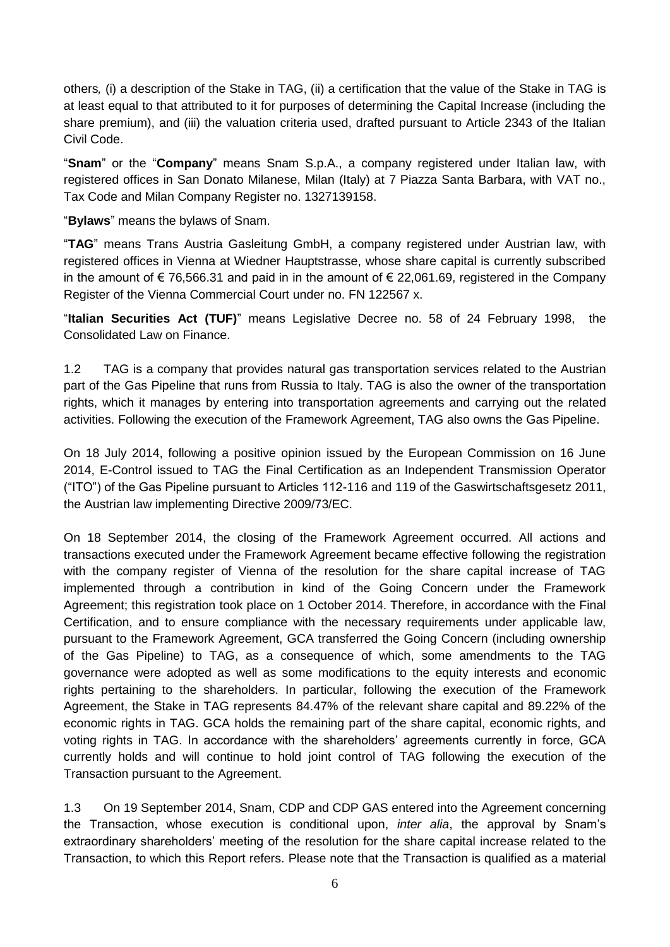others*,* (i) a description of the Stake in TAG, (ii) a certification that the value of the Stake in TAG is at least equal to that attributed to it for purposes of determining the Capital Increase (including the share premium), and (iii) the valuation criteria used, drafted pursuant to Article 2343 of the Italian Civil Code.

"**Snam**" or the "**Company**" means Snam S.p.A., a company registered under Italian law, with registered offices in San Donato Milanese, Milan (Italy) at 7 Piazza Santa Barbara, with VAT no., Tax Code and Milan Company Register no. 1327139158.

"**Bylaws**" means the bylaws of Snam.

"**TAG**" means Trans Austria Gasleitung GmbH, a company registered under Austrian law, with registered offices in Vienna at Wiedner Hauptstrasse, whose share capital is currently subscribed in the amount of € 76,566.31 and paid in in the amount of € 22,061.69, registered in the Company Register of the Vienna Commercial Court under no. FN 122567 x.

"**Italian Securities Act (TUF)**" means Legislative Decree no. 58 of 24 February 1998, the Consolidated Law on Finance.

1.2 TAG is a company that provides natural gas transportation services related to the Austrian part of the Gas Pipeline that runs from Russia to Italy. TAG is also the owner of the transportation rights, which it manages by entering into transportation agreements and carrying out the related activities. Following the execution of the Framework Agreement, TAG also owns the Gas Pipeline.

On 18 July 2014, following a positive opinion issued by the European Commission on 16 June 2014, E-Control issued to TAG the Final Certification as an Independent Transmission Operator ("ITO") of the Gas Pipeline pursuant to Articles 112-116 and 119 of the Gaswirtschaftsgesetz 2011, the Austrian law implementing Directive 2009/73/EC.

On 18 September 2014, the closing of the Framework Agreement occurred. All actions and transactions executed under the Framework Agreement became effective following the registration with the company register of Vienna of the resolution for the share capital increase of TAG implemented through a contribution in kind of the Going Concern under the Framework Agreement; this registration took place on 1 October 2014. Therefore, in accordance with the Final Certification, and to ensure compliance with the necessary requirements under applicable law, pursuant to the Framework Agreement, GCA transferred the Going Concern (including ownership of the Gas Pipeline) to TAG, as a consequence of which, some amendments to the TAG governance were adopted as well as some modifications to the equity interests and economic rights pertaining to the shareholders. In particular, following the execution of the Framework Agreement, the Stake in TAG represents 84.47% of the relevant share capital and 89.22% of the economic rights in TAG. GCA holds the remaining part of the share capital, economic rights, and voting rights in TAG. In accordance with the shareholders' agreements currently in force, GCA currently holds and will continue to hold joint control of TAG following the execution of the Transaction pursuant to the Agreement.

1.3 On 19 September 2014, Snam, CDP and CDP GAS entered into the Agreement concerning the Transaction, whose execution is conditional upon, *inter alia*, the approval by Snam's extraordinary shareholders' meeting of the resolution for the share capital increase related to the Transaction, to which this Report refers. Please note that the Transaction is qualified as a material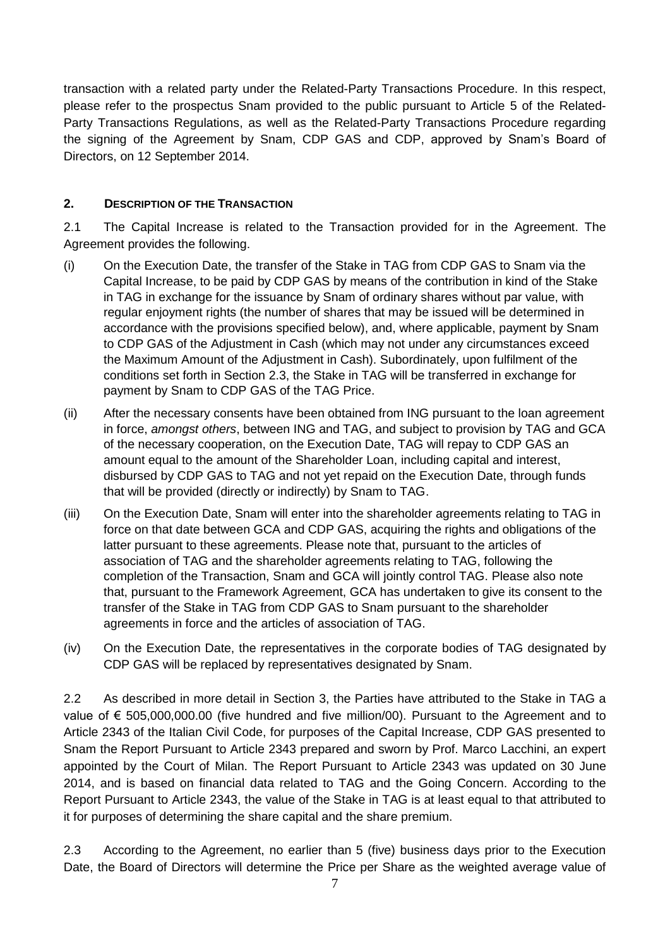transaction with a related party under the Related-Party Transactions Procedure. In this respect, please refer to the prospectus Snam provided to the public pursuant to Article 5 of the Related-Party Transactions Regulations, as well as the Related-Party Transactions Procedure regarding the signing of the Agreement by Snam, CDP GAS and CDP, approved by Snam's Board of Directors, on 12 September 2014.

#### <span id="page-6-0"></span>**2. DESCRIPTION OF THE TRANSACTION**

2.1 The Capital Increase is related to the Transaction provided for in the Agreement. The Agreement provides the following.

- (i) On the Execution Date, the transfer of the Stake in TAG from CDP GAS to Snam via the Capital Increase, to be paid by CDP GAS by means of the contribution in kind of the Stake in TAG in exchange for the issuance by Snam of ordinary shares without par value, with regular enjoyment rights (the number of shares that may be issued will be determined in accordance with the provisions specified below), and, where applicable, payment by Snam to CDP GAS of the Adjustment in Cash (which may not under any circumstances exceed the Maximum Amount of the Adjustment in Cash). Subordinately, upon fulfilment of the conditions set forth in Section 2.3, the Stake in TAG will be transferred in exchange for payment by Snam to CDP GAS of the TAG Price.
- (ii) After the necessary consents have been obtained from ING pursuant to the loan agreement in force, *amongst others*, between ING and TAG, and subject to provision by TAG and GCA of the necessary cooperation, on the Execution Date, TAG will repay to CDP GAS an amount equal to the amount of the Shareholder Loan, including capital and interest, disbursed by CDP GAS to TAG and not yet repaid on the Execution Date, through funds that will be provided (directly or indirectly) by Snam to TAG.
- (iii) On the Execution Date, Snam will enter into the shareholder agreements relating to TAG in force on that date between GCA and CDP GAS, acquiring the rights and obligations of the latter pursuant to these agreements. Please note that, pursuant to the articles of association of TAG and the shareholder agreements relating to TAG, following the completion of the Transaction, Snam and GCA will jointly control TAG. Please also note that, pursuant to the Framework Agreement, GCA has undertaken to give its consent to the transfer of the Stake in TAG from CDP GAS to Snam pursuant to the shareholder agreements in force and the articles of association of TAG.
- (iv) On the Execution Date, the representatives in the corporate bodies of TAG designated by CDP GAS will be replaced by representatives designated by Snam.

2.2 As described in more detail in Section 3, the Parties have attributed to the Stake in TAG a value of € 505,000,000.00 (five hundred and five million/00). Pursuant to the Agreement and to Article 2343 of the Italian Civil Code, for purposes of the Capital Increase, CDP GAS presented to Snam the Report Pursuant to Article 2343 prepared and sworn by Prof. Marco Lacchini, an expert appointed by the Court of Milan. The Report Pursuant to Article 2343 was updated on 30 June 2014, and is based on financial data related to TAG and the Going Concern. According to the Report Pursuant to Article 2343, the value of the Stake in TAG is at least equal to that attributed to it for purposes of determining the share capital and the share premium.

2.3 According to the Agreement, no earlier than 5 (five) business days prior to the Execution Date, the Board of Directors will determine the Price per Share as the weighted average value of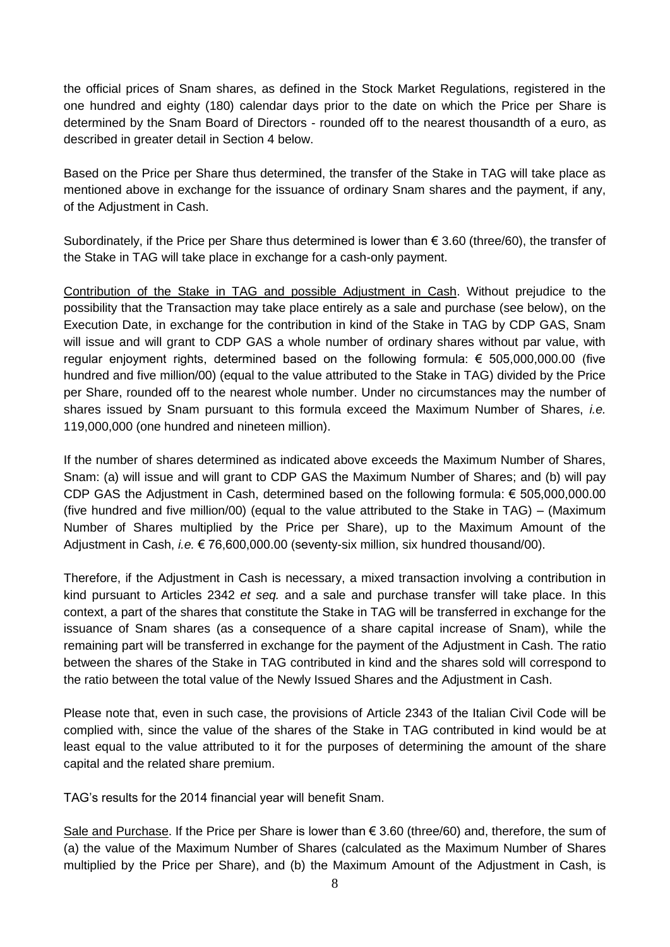the official prices of Snam shares, as defined in the Stock Market Regulations, registered in the one hundred and eighty (180) calendar days prior to the date on which the Price per Share is determined by the Snam Board of Directors - rounded off to the nearest thousandth of a euro, as described in greater detail in Section 4 below.

Based on the Price per Share thus determined, the transfer of the Stake in TAG will take place as mentioned above in exchange for the issuance of ordinary Snam shares and the payment, if any, of the Adjustment in Cash.

Subordinately, if the Price per Share thus determined is lower than  $\epsilon$  3.60 (three/60), the transfer of the Stake in TAG will take place in exchange for a cash-only payment.

Contribution of the Stake in TAG and possible Adjustment in Cash. Without prejudice to the possibility that the Transaction may take place entirely as a sale and purchase (see below), on the Execution Date, in exchange for the contribution in kind of the Stake in TAG by CDP GAS, Snam will issue and will grant to CDP GAS a whole number of ordinary shares without par value, with regular enjoyment rights, determined based on the following formula: € 505,000,000.00 (five hundred and five million/00) (equal to the value attributed to the Stake in TAG) divided by the Price per Share, rounded off to the nearest whole number. Under no circumstances may the number of shares issued by Snam pursuant to this formula exceed the Maximum Number of Shares, *i.e.* 119,000,000 (one hundred and nineteen million).

If the number of shares determined as indicated above exceeds the Maximum Number of Shares, Snam: (a) will issue and will grant to CDP GAS the Maximum Number of Shares; and (b) will pay CDP GAS the Adjustment in Cash, determined based on the following formula: € 505,000,000.00 (five hundred and five million/00) (equal to the value attributed to the Stake in TAG) – (Maximum Number of Shares multiplied by the Price per Share), up to the Maximum Amount of the Adjustment in Cash, *i.e.* € 76,600,000.00 (seventy-six million, six hundred thousand/00).

Therefore, if the Adjustment in Cash is necessary, a mixed transaction involving a contribution in kind pursuant to Articles 2342 *et seq.* and a sale and purchase transfer will take place. In this context, a part of the shares that constitute the Stake in TAG will be transferred in exchange for the issuance of Snam shares (as a consequence of a share capital increase of Snam), while the remaining part will be transferred in exchange for the payment of the Adjustment in Cash. The ratio between the shares of the Stake in TAG contributed in kind and the shares sold will correspond to the ratio between the total value of the Newly Issued Shares and the Adjustment in Cash.

Please note that, even in such case, the provisions of Article 2343 of the Italian Civil Code will be complied with, since the value of the shares of the Stake in TAG contributed in kind would be at least equal to the value attributed to it for the purposes of determining the amount of the share capital and the related share premium.

TAG's results for the 2014 financial year will benefit Snam.

Sale and Purchase. If the Price per Share is lower than  $\epsilon$  3.60 (three/60) and, therefore, the sum of (a) the value of the Maximum Number of Shares (calculated as the Maximum Number of Shares multiplied by the Price per Share), and (b) the Maximum Amount of the Adjustment in Cash, is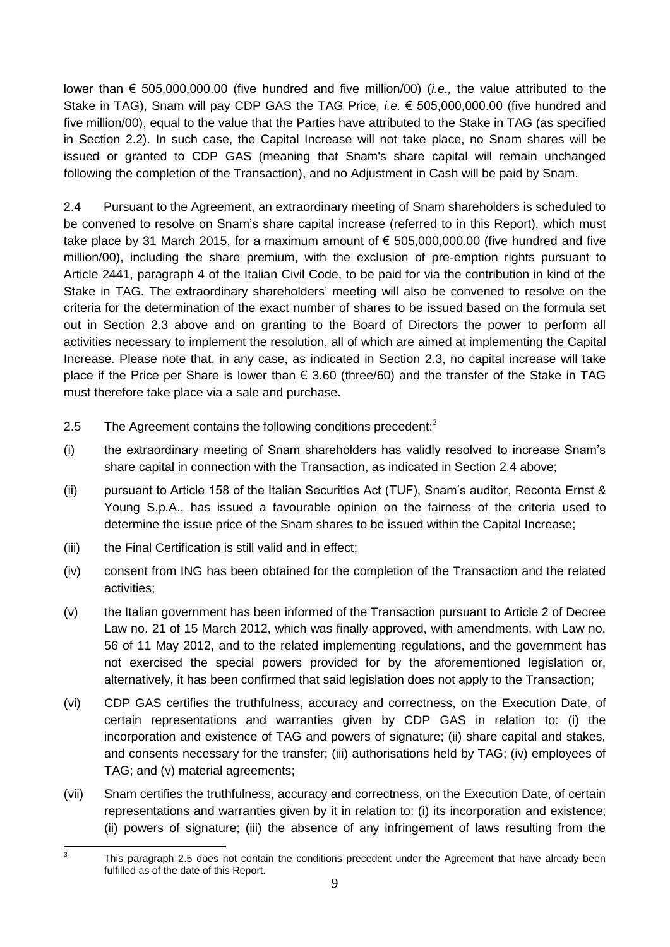lower than € 505,000,000.00 (five hundred and five million/00) (*i.e.,* the value attributed to the Stake in TAG), Snam will pay CDP GAS the TAG Price, *i.e.* € 505,000,000.00 (five hundred and five million/00), equal to the value that the Parties have attributed to the Stake in TAG (as specified in Section 2.2). In such case, the Capital Increase will not take place, no Snam shares will be issued or granted to CDP GAS (meaning that Snam's share capital will remain unchanged following the completion of the Transaction), and no Adjustment in Cash will be paid by Snam.

2.4 Pursuant to the Agreement, an extraordinary meeting of Snam shareholders is scheduled to be convened to resolve on Snam's share capital increase (referred to in this Report), which must take place by 31 March 2015, for a maximum amount of  $\epsilon$  505,000,000.00 (five hundred and five million/00), including the share premium, with the exclusion of pre-emption rights pursuant to Article 2441, paragraph 4 of the Italian Civil Code, to be paid for via the contribution in kind of the Stake in TAG. The extraordinary shareholders' meeting will also be convened to resolve on the criteria for the determination of the exact number of shares to be issued based on the formula set out in Section 2.3 above and on granting to the Board of Directors the power to perform all activities necessary to implement the resolution, all of which are aimed at implementing the Capital Increase. Please note that, in any case, as indicated in Section 2.3, no capital increase will take place if the Price per Share is lower than  $\epsilon$  3.60 (three/60) and the transfer of the Stake in TAG must therefore take place via a sale and purchase.

- 2.5 The Agreement contains the following conditions precedent:<sup>3</sup>
- (i) the extraordinary meeting of Snam shareholders has validly resolved to increase Snam's share capital in connection with the Transaction, as indicated in Section 2.4 above;
- (ii) pursuant to Article 158 of the Italian Securities Act (TUF), Snam's auditor, Reconta Ernst & Young S.p.A., has issued a favourable opinion on the fairness of the criteria used to determine the issue price of the Snam shares to be issued within the Capital Increase;
- (iii) the Final Certification is still valid and in effect;
- (iv) consent from ING has been obtained for the completion of the Transaction and the related activities;
- (v) the Italian government has been informed of the Transaction pursuant to Article 2 of Decree Law no. 21 of 15 March 2012, which was finally approved, with amendments, with Law no. 56 of 11 May 2012, and to the related implementing regulations, and the government has not exercised the special powers provided for by the aforementioned legislation or, alternatively, it has been confirmed that said legislation does not apply to the Transaction;
- (vi) CDP GAS certifies the truthfulness, accuracy and correctness, on the Execution Date, of certain representations and warranties given by CDP GAS in relation to: (i) the incorporation and existence of TAG and powers of signature; (ii) share capital and stakes, and consents necessary for the transfer; (iii) authorisations held by TAG; (iv) employees of TAG; and (v) material agreements;
- (vii) Snam certifies the truthfulness, accuracy and correctness, on the Execution Date, of certain representations and warranties given by it in relation to: (i) its incorporation and existence; (ii) powers of signature; (iii) the absence of any infringement of laws resulting from the

<sup>-&</sup>lt;br>3 This paragraph 2.5 does not contain the conditions precedent under the Agreement that have already been fulfilled as of the date of this Report.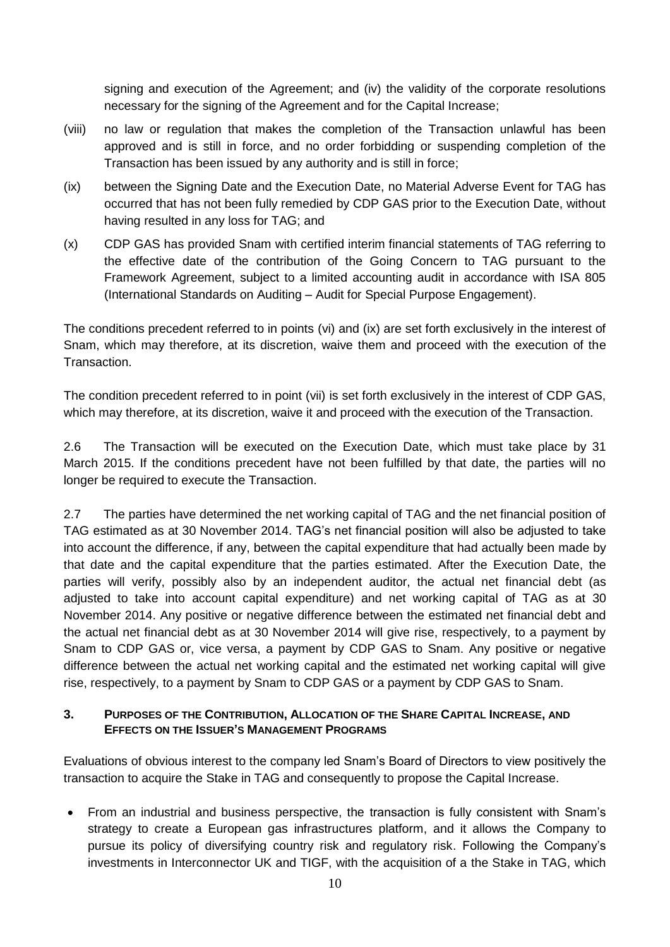signing and execution of the Agreement; and (iv) the validity of the corporate resolutions necessary for the signing of the Agreement and for the Capital Increase;

- (viii) no law or regulation that makes the completion of the Transaction unlawful has been approved and is still in force, and no order forbidding or suspending completion of the Transaction has been issued by any authority and is still in force;
- (ix) between the Signing Date and the Execution Date, no Material Adverse Event for TAG has occurred that has not been fully remedied by CDP GAS prior to the Execution Date, without having resulted in any loss for TAG; and
- (x) CDP GAS has provided Snam with certified interim financial statements of TAG referring to the effective date of the contribution of the Going Concern to TAG pursuant to the Framework Agreement, subject to a limited accounting audit in accordance with ISA 805 (International Standards on Auditing – Audit for Special Purpose Engagement).

The conditions precedent referred to in points (vi) and (ix) are set forth exclusively in the interest of Snam, which may therefore, at its discretion, waive them and proceed with the execution of the Transaction.

The condition precedent referred to in point (vii) is set forth exclusively in the interest of CDP GAS, which may therefore, at its discretion, waive it and proceed with the execution of the Transaction.

2.6 The Transaction will be executed on the Execution Date, which must take place by 31 March 2015. If the conditions precedent have not been fulfilled by that date, the parties will no longer be required to execute the Transaction.

2.7 The parties have determined the net working capital of TAG and the net financial position of TAG estimated as at 30 November 2014. TAG's net financial position will also be adjusted to take into account the difference, if any, between the capital expenditure that had actually been made by that date and the capital expenditure that the parties estimated. After the Execution Date, the parties will verify, possibly also by an independent auditor, the actual net financial debt (as adjusted to take into account capital expenditure) and net working capital of TAG as at 30 November 2014. Any positive or negative difference between the estimated net financial debt and the actual net financial debt as at 30 November 2014 will give rise, respectively, to a payment by Snam to CDP GAS or, vice versa, a payment by CDP GAS to Snam. Any positive or negative difference between the actual net working capital and the estimated net working capital will give rise, respectively, to a payment by Snam to CDP GAS or a payment by CDP GAS to Snam.

#### <span id="page-9-0"></span>**3. PURPOSES OF THE CONTRIBUTION, ALLOCATION OF THE SHARE CAPITAL INCREASE, AND EFFECTS ON THE ISSUER'S MANAGEMENT PROGRAMS**

Evaluations of obvious interest to the company led Snam's Board of Directors to view positively the transaction to acquire the Stake in TAG and consequently to propose the Capital Increase.

 From an industrial and business perspective, the transaction is fully consistent with Snam's strategy to create a European gas infrastructures platform, and it allows the Company to pursue its policy of diversifying country risk and regulatory risk. Following the Company's investments in Interconnector UK and TIGF, with the acquisition of a the Stake in TAG, which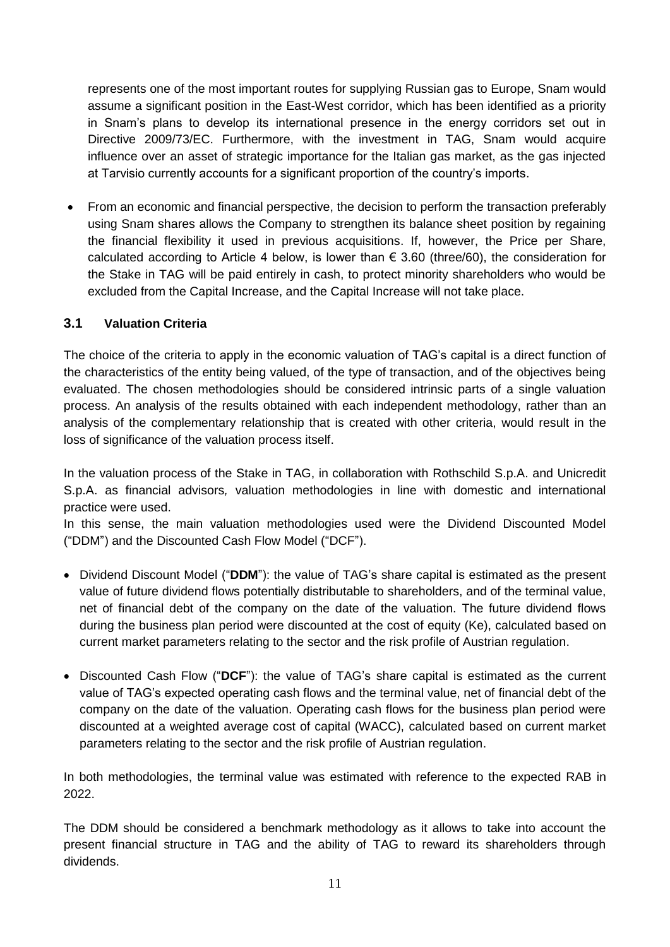represents one of the most important routes for supplying Russian gas to Europe, Snam would assume a significant position in the East-West corridor, which has been identified as a priority in Snam's plans to develop its international presence in the energy corridors set out in Directive 2009/73/EC. Furthermore, with the investment in TAG, Snam would acquire influence over an asset of strategic importance for the Italian gas market, as the gas injected at Tarvisio currently accounts for a significant proportion of the country's imports.

 From an economic and financial perspective, the decision to perform the transaction preferably using Snam shares allows the Company to strengthen its balance sheet position by regaining the financial flexibility it used in previous acquisitions. If, however, the Price per Share, calculated according to Article 4 below, is lower than  $\epsilon$  3.60 (three/60), the consideration for the Stake in TAG will be paid entirely in cash, to protect minority shareholders who would be excluded from the Capital Increase, and the Capital Increase will not take place.

## **3.1 Valuation Criteria**

The choice of the criteria to apply in the economic valuation of TAG's capital is a direct function of the characteristics of the entity being valued, of the type of transaction, and of the objectives being evaluated. The chosen methodologies should be considered intrinsic parts of a single valuation process. An analysis of the results obtained with each independent methodology, rather than an analysis of the complementary relationship that is created with other criteria, would result in the loss of significance of the valuation process itself.

In the valuation process of the Stake in TAG, in collaboration with Rothschild S.p.A. and Unicredit S.p.A. as financial advisors*,* valuation methodologies in line with domestic and international practice were used.

In this sense, the main valuation methodologies used were the Dividend Discounted Model ("DDM") and the Discounted Cash Flow Model ("DCF").

- Dividend Discount Model ("DDM"): the value of TAG's share capital is estimated as the present value of future dividend flows potentially distributable to shareholders, and of the terminal value, net of financial debt of the company on the date of the valuation. The future dividend flows during the business plan period were discounted at the cost of equity (Ke), calculated based on current market parameters relating to the sector and the risk profile of Austrian regulation.
- Discounted Cash Flow ("**DCF**"): the value of TAG's share capital is estimated as the current value of TAG's expected operating cash flows and the terminal value, net of financial debt of the company on the date of the valuation. Operating cash flows for the business plan period were discounted at a weighted average cost of capital (WACC), calculated based on current market parameters relating to the sector and the risk profile of Austrian regulation.

In both methodologies, the terminal value was estimated with reference to the expected RAB in 2022.

The DDM should be considered a benchmark methodology as it allows to take into account the present financial structure in TAG and the ability of TAG to reward its shareholders through dividends.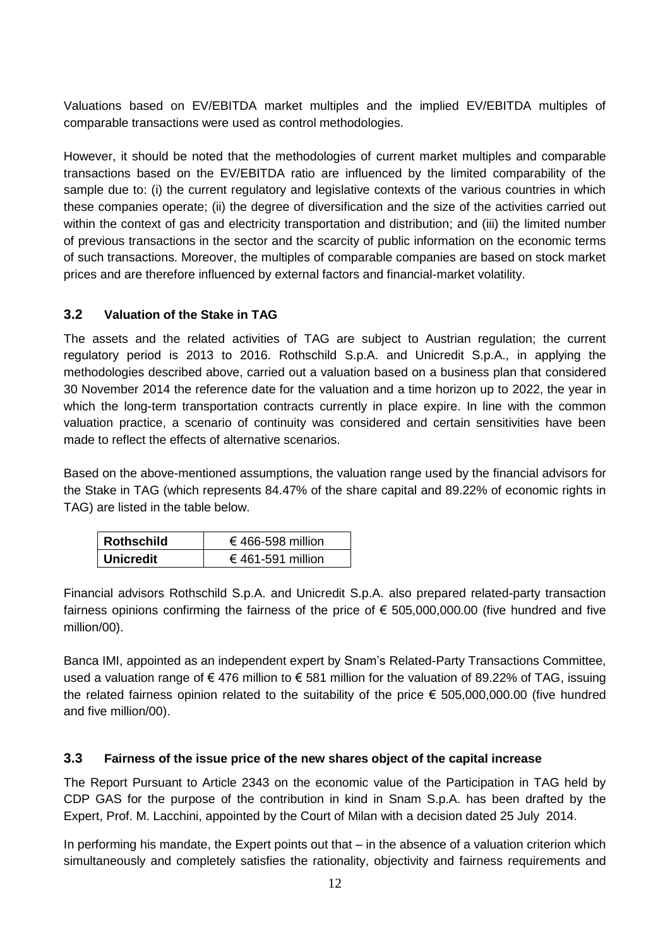Valuations based on EV/EBITDA market multiples and the implied EV/EBITDA multiples of comparable transactions were used as control methodologies.

However, it should be noted that the methodologies of current market multiples and comparable transactions based on the EV/EBITDA ratio are influenced by the limited comparability of the sample due to: (i) the current regulatory and legislative contexts of the various countries in which these companies operate; (ii) the degree of diversification and the size of the activities carried out within the context of gas and electricity transportation and distribution; and (iii) the limited number of previous transactions in the sector and the scarcity of public information on the economic terms of such transactions. Moreover, the multiples of comparable companies are based on stock market prices and are therefore influenced by external factors and financial-market volatility.

## <span id="page-11-0"></span>**3.2 Valuation of the Stake in TAG**

The assets and the related activities of TAG are subject to Austrian regulation; the current regulatory period is 2013 to 2016. Rothschild S.p.A. and Unicredit S.p.A., in applying the methodologies described above, carried out a valuation based on a business plan that considered 30 November 2014 the reference date for the valuation and a time horizon up to 2022, the year in which the long-term transportation contracts currently in place expire. In line with the common valuation practice, a scenario of continuity was considered and certain sensitivities have been made to reflect the effects of alternative scenarios.

Based on the above-mentioned assumptions, the valuation range used by the financial advisors for the Stake in TAG (which represents 84.47% of the share capital and 89.22% of economic rights in TAG) are listed in the table below.

| <b>Rothschild</b> | € 466-598 million |
|-------------------|-------------------|
| <b>Unicredit</b>  | € 461-591 million |

Financial advisors Rothschild S.p.A. and Unicredit S.p.A. also prepared related-party transaction fairness opinions confirming the fairness of the price of  $\epsilon$  505,000,000.00 (five hundred and five million/00).

Banca IMI, appointed as an independent expert by Snam's Related-Party Transactions Committee, used a valuation range of  $\epsilon$  476 million to  $\epsilon$  581 million for the valuation of 89.22% of TAG, issuing the related fairness opinion related to the suitability of the price  $\epsilon$  505,000,000.00 (five hundred and five million/00).

#### <span id="page-11-1"></span>**3.3 Fairness of the issue price of the new shares object of the capital increase**

The Report Pursuant to Article 2343 on the economic value of the Participation in TAG held by CDP GAS for the purpose of the contribution in kind in Snam S.p.A. has been drafted by the Expert, Prof. M. Lacchini, appointed by the Court of Milan with a decision dated 25 July 2014.

In performing his mandate, the Expert points out that – in the absence of a valuation criterion which simultaneously and completely satisfies the rationality, objectivity and fairness requirements and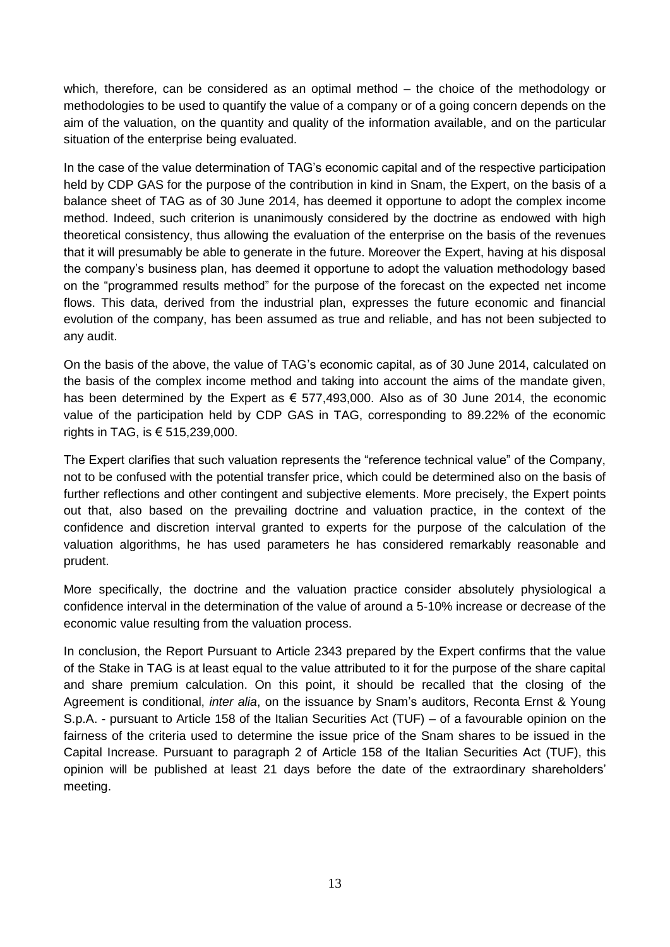which, therefore, can be considered as an optimal method – the choice of the methodology or methodologies to be used to quantify the value of a company or of a going concern depends on the aim of the valuation, on the quantity and quality of the information available, and on the particular situation of the enterprise being evaluated.

In the case of the value determination of TAG's economic capital and of the respective participation held by CDP GAS for the purpose of the contribution in kind in Snam, the Expert, on the basis of a balance sheet of TAG as of 30 June 2014, has deemed it opportune to adopt the complex income method. Indeed, such criterion is unanimously considered by the doctrine as endowed with high theoretical consistency, thus allowing the evaluation of the enterprise on the basis of the revenues that it will presumably be able to generate in the future. Moreover the Expert, having at his disposal the company's business plan, has deemed it opportune to adopt the valuation methodology based on the "programmed results method" for the purpose of the forecast on the expected net income flows. This data, derived from the industrial plan, expresses the future economic and financial evolution of the company, has been assumed as true and reliable, and has not been subjected to any audit.

On the basis of the above, the value of TAG's economic capital, as of 30 June 2014, calculated on the basis of the complex income method and taking into account the aims of the mandate given, has been determined by the Expert as  $\epsilon$  577,493,000. Also as of 30 June 2014, the economic value of the participation held by CDP GAS in TAG, corresponding to 89.22% of the economic rights in TAG, is  $\epsilon$  515,239,000.

The Expert clarifies that such valuation represents the "reference technical value" of the Company, not to be confused with the potential transfer price, which could be determined also on the basis of further reflections and other contingent and subjective elements. More precisely, the Expert points out that, also based on the prevailing doctrine and valuation practice, in the context of the confidence and discretion interval granted to experts for the purpose of the calculation of the valuation algorithms, he has used parameters he has considered remarkably reasonable and prudent.

More specifically, the doctrine and the valuation practice consider absolutely physiological a confidence interval in the determination of the value of around a 5-10% increase or decrease of the economic value resulting from the valuation process.

In conclusion, the Report Pursuant to Article 2343 prepared by the Expert confirms that the value of the Stake in TAG is at least equal to the value attributed to it for the purpose of the share capital and share premium calculation. On this point, it should be recalled that the closing of the Agreement is conditional, *inter alia*, on the issuance by Snam's auditors, Reconta Ernst & Young S.p.A. - pursuant to Article 158 of the Italian Securities Act (TUF) – of a favourable opinion on the fairness of the criteria used to determine the issue price of the Snam shares to be issued in the Capital Increase. Pursuant to paragraph 2 of Article 158 of the Italian Securities Act (TUF), this opinion will be published at least 21 days before the date of the extraordinary shareholders' meeting.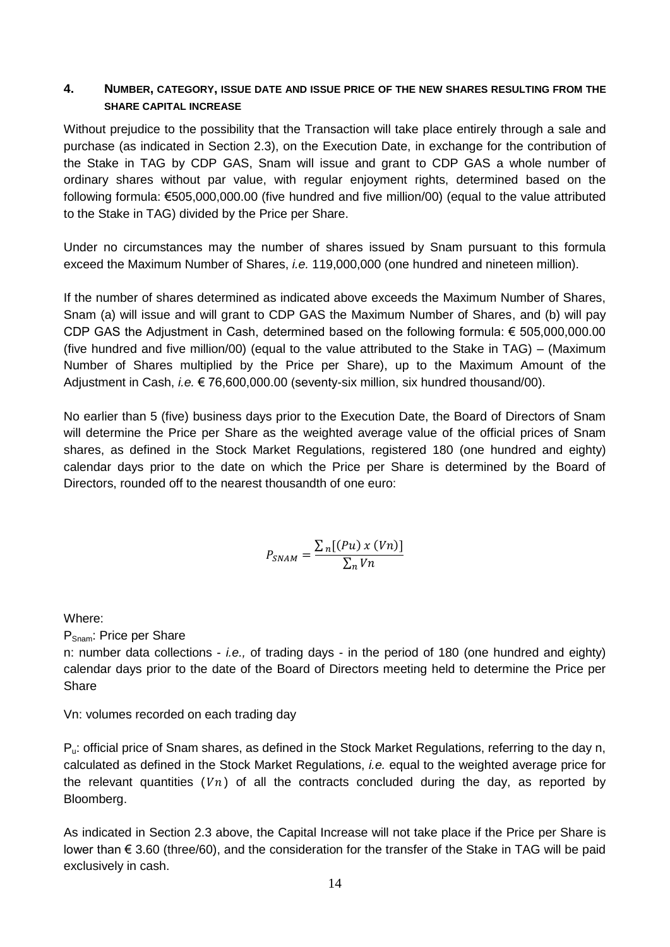#### <span id="page-13-0"></span>**4. NUMBER, CATEGORY, ISSUE DATE AND ISSUE PRICE OF THE NEW SHARES RESULTING FROM THE SHARE CAPITAL INCREASE**

Without prejudice to the possibility that the Transaction will take place entirely through a sale and purchase (as indicated in Section 2.3), on the Execution Date, in exchange for the contribution of the Stake in TAG by CDP GAS, Snam will issue and grant to CDP GAS a whole number of ordinary shares without par value, with regular enjoyment rights, determined based on the following formula: €505,000,000.00 (five hundred and five million/00) (equal to the value attributed to the Stake in TAG) divided by the Price per Share.

Under no circumstances may the number of shares issued by Snam pursuant to this formula exceed the Maximum Number of Shares, *i.e.* 119,000,000 (one hundred and nineteen million).

If the number of shares determined as indicated above exceeds the Maximum Number of Shares, Snam (a) will issue and will grant to CDP GAS the Maximum Number of Shares, and (b) will pay CDP GAS the Adjustment in Cash, determined based on the following formula: € 505,000,000.00 (five hundred and five million/00) (equal to the value attributed to the Stake in TAG) – (Maximum Number of Shares multiplied by the Price per Share), up to the Maximum Amount of the Adjustment in Cash, *i.e.* € 76,600,000.00 (seventy-six million, six hundred thousand/00).

No earlier than 5 (five) business days prior to the Execution Date, the Board of Directors of Snam will determine the Price per Share as the weighted average value of the official prices of Snam shares, as defined in the Stock Market Regulations, registered 180 (one hundred and eighty) calendar days prior to the date on which the Price per Share is determined by the Board of Directors, rounded off to the nearest thousandth of one euro:

$$
P_{SNAM} = \frac{\sum_{n} [(Pu) x (Vn)]}{\sum_{n} Vn}
$$

Where:

PSnam: Price per Share

n: number data collections - *i.e.,* of trading days - in the period of 180 (one hundred and eighty) calendar days prior to the date of the Board of Directors meeting held to determine the Price per **Share** 

Vn: volumes recorded on each trading day

Pu: official price of Snam shares, as defined in the Stock Market Regulations, referring to the day n, calculated as defined in the Stock Market Regulations, *i.e.* equal to the weighted average price for the relevant quantities  $(Vn)$  of all the contracts concluded during the day, as reported by Bloomberg.

As indicated in Section 2.3 above, the Capital Increase will not take place if the Price per Share is lower than € 3.60 (three/60), and the consideration for the transfer of the Stake in TAG will be paid exclusively in cash.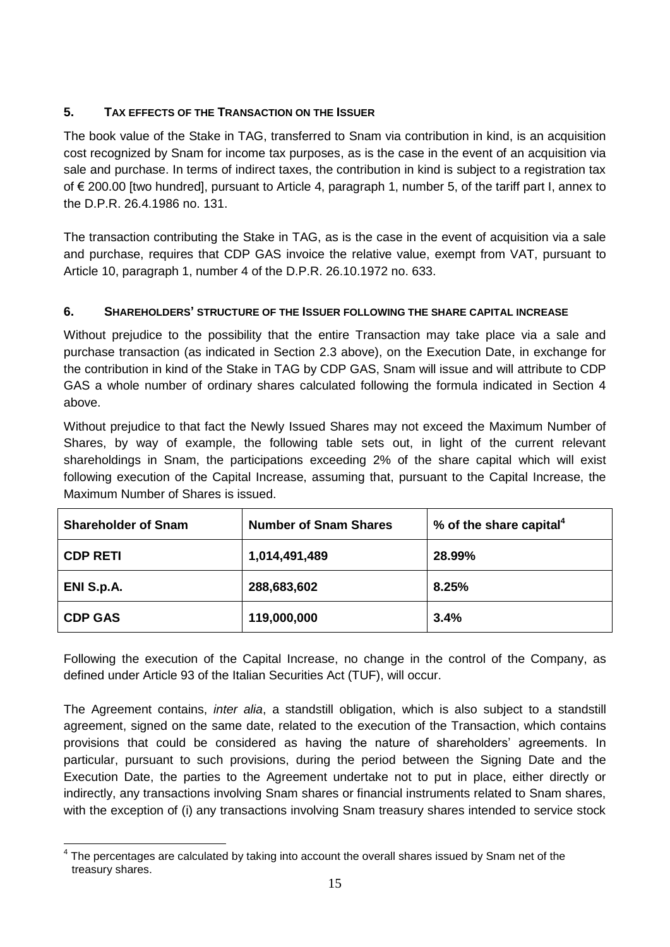# <span id="page-14-0"></span>**5. TAX EFFECTS OF THE TRANSACTION ON THE ISSUER**

The book value of the Stake in TAG, transferred to Snam via contribution in kind, is an acquisition cost recognized by Snam for income tax purposes, as is the case in the event of an acquisition via sale and purchase. In terms of indirect taxes, the contribution in kind is subject to a registration tax of € 200.00 [two hundred], pursuant to Article 4, paragraph 1, number 5, of the tariff part I, annex to the D.P.R. 26.4.1986 no. 131.

The transaction contributing the Stake in TAG, as is the case in the event of acquisition via a sale and purchase, requires that CDP GAS invoice the relative value, exempt from VAT, pursuant to Article 10, paragraph 1, number 4 of the D.P.R. 26.10.1972 no. 633.

# <span id="page-14-1"></span>**6. SHAREHOLDERS' STRUCTURE OF THE ISSUER FOLLOWING THE SHARE CAPITAL INCREASE**

Without prejudice to the possibility that the entire Transaction may take place via a sale and purchase transaction (as indicated in Section 2.3 above), on the Execution Date, in exchange for the contribution in kind of the Stake in TAG by CDP GAS, Snam will issue and will attribute to CDP GAS a whole number of ordinary shares calculated following the formula indicated in Section 4 above.

Without prejudice to that fact the Newly Issued Shares may not exceed the Maximum Number of Shares, by way of example, the following table sets out, in light of the current relevant shareholdings in Snam, the participations exceeding 2% of the share capital which will exist following execution of the Capital Increase, assuming that, pursuant to the Capital Increase, the Maximum Number of Shares is issued.

| <b>Shareholder of Snam</b> | <b>Number of Snam Shares</b> | % of the share capital <sup>4</sup> |
|----------------------------|------------------------------|-------------------------------------|
| <b>CDP RETI</b>            | 1,014,491,489                | 28.99%                              |
| ENI S.p.A.                 | 288,683,602                  | 8.25%                               |
| <b>CDP GAS</b>             | 119,000,000                  | 3.4%                                |

Following the execution of the Capital Increase, no change in the control of the Company, as defined under Article 93 of the Italian Securities Act (TUF), will occur.

The Agreement contains, *inter alia*, a standstill obligation, which is also subject to a standstill agreement, signed on the same date, related to the execution of the Transaction, which contains provisions that could be considered as having the nature of shareholders' agreements. In particular, pursuant to such provisions, during the period between the Signing Date and the Execution Date, the parties to the Agreement undertake not to put in place, either directly or indirectly, any transactions involving Snam shares or financial instruments related to Snam shares, with the exception of (i) any transactions involving Snam treasury shares intended to service stock

 $\overline{\phantom{a}}$  $4$  The percentages are calculated by taking into account the overall shares issued by Snam net of the treasury shares.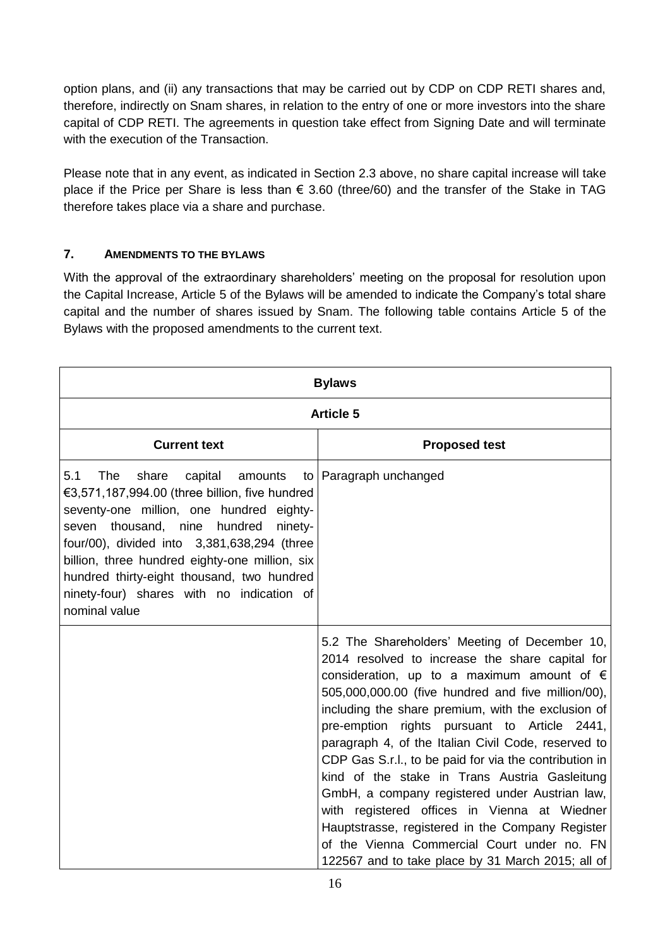option plans, and (ii) any transactions that may be carried out by CDP on CDP RETI shares and, therefore, indirectly on Snam shares, in relation to the entry of one or more investors into the share capital of CDP RETI. The agreements in question take effect from Signing Date and will terminate with the execution of the Transaction.

Please note that in any event, as indicated in Section 2.3 above, no share capital increase will take place if the Price per Share is less than € 3.60 (three/60) and the transfer of the Stake in TAG therefore takes place via a share and purchase.

## <span id="page-15-0"></span>**7. AMENDMENTS TO THE BYLAWS**

With the approval of the extraordinary shareholders' meeting on the proposal for resolution upon the Capital Increase, Article 5 of the Bylaws will be amended to indicate the Company's total share capital and the number of shares issued by Snam. The following table contains Article 5 of the Bylaws with the proposed amendments to the current text.

| <b>Bylaws</b>                                                                                                                                                                                                                                                                                                                                                                                             |                                                                                                                                                                                                                                                                                                                                                                                                                                                                                                                                                                                                                                                                                                                                                 |  |  |  |
|-----------------------------------------------------------------------------------------------------------------------------------------------------------------------------------------------------------------------------------------------------------------------------------------------------------------------------------------------------------------------------------------------------------|-------------------------------------------------------------------------------------------------------------------------------------------------------------------------------------------------------------------------------------------------------------------------------------------------------------------------------------------------------------------------------------------------------------------------------------------------------------------------------------------------------------------------------------------------------------------------------------------------------------------------------------------------------------------------------------------------------------------------------------------------|--|--|--|
| <b>Article 5</b>                                                                                                                                                                                                                                                                                                                                                                                          |                                                                                                                                                                                                                                                                                                                                                                                                                                                                                                                                                                                                                                                                                                                                                 |  |  |  |
| <b>Current text</b>                                                                                                                                                                                                                                                                                                                                                                                       | <b>Proposed test</b>                                                                                                                                                                                                                                                                                                                                                                                                                                                                                                                                                                                                                                                                                                                            |  |  |  |
| <b>The</b><br>5.1<br>share<br>capital<br>amounts<br>€3,571,187,994.00 (three billion, five hundred<br>seventy-one million, one hundred eighty-<br>thousand, nine hundred<br>ninety-<br>seven<br>four/00), divided into 3,381,638,294 (three<br>billion, three hundred eighty-one million, six<br>hundred thirty-eight thousand, two hundred<br>ninety-four) shares with no indication of<br>nominal value | to   Paragraph unchanged                                                                                                                                                                                                                                                                                                                                                                                                                                                                                                                                                                                                                                                                                                                        |  |  |  |
|                                                                                                                                                                                                                                                                                                                                                                                                           | 5.2 The Shareholders' Meeting of December 10,<br>2014 resolved to increase the share capital for<br>consideration, up to a maximum amount of $\epsilon$<br>505,000,000.00 (five hundred and five million/00),<br>including the share premium, with the exclusion of<br>pre-emption rights pursuant to Article 2441,<br>paragraph 4, of the Italian Civil Code, reserved to<br>CDP Gas S.r.l., to be paid for via the contribution in<br>kind of the stake in Trans Austria Gasleitung<br>GmbH, a company registered under Austrian law,<br>with registered offices in Vienna at Wiedner<br>Hauptstrasse, registered in the Company Register<br>of the Vienna Commercial Court under no. FN<br>122567 and to take place by 31 March 2015; all of |  |  |  |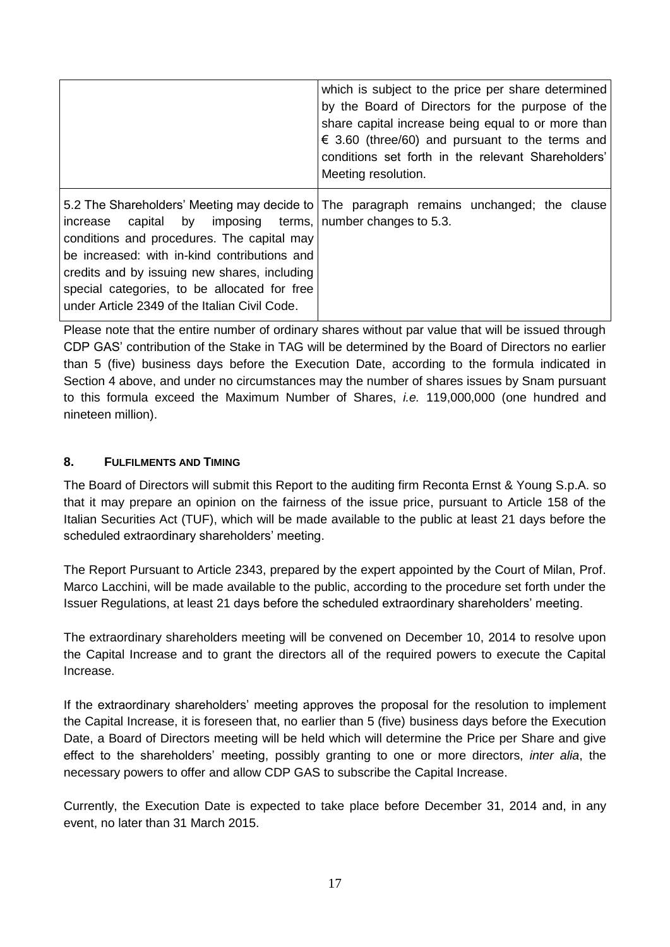|                                                                                                                                                                                                                                                                                                              | which is subject to the price per share determined<br>by the Board of Directors for the purpose of the<br>share capital increase being equal to or more than<br>$\epsilon$ 3.60 (three/60) and pursuant to the terms and<br>conditions set forth in the relevant Shareholders'<br>Meeting resolution. |
|--------------------------------------------------------------------------------------------------------------------------------------------------------------------------------------------------------------------------------------------------------------------------------------------------------------|-------------------------------------------------------------------------------------------------------------------------------------------------------------------------------------------------------------------------------------------------------------------------------------------------------|
| capital by imposing terms, number changes to 5.3.<br>increase<br>conditions and procedures. The capital may<br>be increased: with in-kind contributions and<br>credits and by issuing new shares, including<br>special categories, to be allocated for free<br>under Article 2349 of the Italian Civil Code. | 5.2 The Shareholders' Meeting may decide to   The paragraph remains unchanged; the clause                                                                                                                                                                                                             |

Please note that the entire number of ordinary shares without par value that will be issued through CDP GAS' contribution of the Stake in TAG will be determined by the Board of Directors no earlier than 5 (five) business days before the Execution Date, according to the formula indicated in Section 4 above, and under no circumstances may the number of shares issues by Snam pursuant to this formula exceed the Maximum Number of Shares, *i.e.* 119,000,000 (one hundred and nineteen million).

#### **8. FULFILMENTS AND TIMING**

The Board of Directors will submit this Report to the auditing firm Reconta Ernst & Young S.p.A. so that it may prepare an opinion on the fairness of the issue price, pursuant to Article 158 of the Italian Securities Act (TUF), which will be made available to the public at least 21 days before the scheduled extraordinary shareholders' meeting.

The Report Pursuant to Article 2343, prepared by the expert appointed by the Court of Milan, Prof. Marco Lacchini, will be made available to the public, according to the procedure set forth under the Issuer Regulations, at least 21 days before the scheduled extraordinary shareholders' meeting.

The extraordinary shareholders meeting will be convened on December 10, 2014 to resolve upon the Capital Increase and to grant the directors all of the required powers to execute the Capital Increase.

If the extraordinary shareholders' meeting approves the proposal for the resolution to implement the Capital Increase, it is foreseen that, no earlier than 5 (five) business days before the Execution Date, a Board of Directors meeting will be held which will determine the Price per Share and give effect to the shareholders' meeting, possibly granting to one or more directors, *inter alia*, the necessary powers to offer and allow CDP GAS to subscribe the Capital Increase.

Currently, the Execution Date is expected to take place before December 31, 2014 and, in any event, no later than 31 March 2015.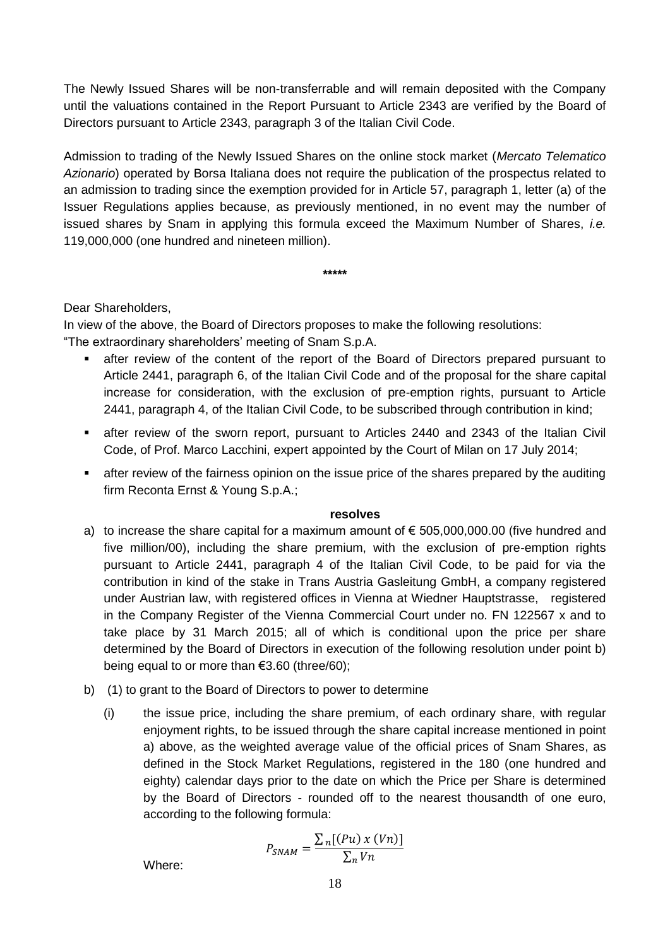The Newly Issued Shares will be non-transferrable and will remain deposited with the Company until the valuations contained in the Report Pursuant to Article 2343 are verified by the Board of Directors pursuant to Article 2343, paragraph 3 of the Italian Civil Code.

Admission to trading of the Newly Issued Shares on the online stock market (*Mercato Telematico Azionario*) operated by Borsa Italiana does not require the publication of the prospectus related to an admission to trading since the exemption provided for in Article 57, paragraph 1, letter (a) of the Issuer Regulations applies because, as previously mentioned, in no event may the number of issued shares by Snam in applying this formula exceed the Maximum Number of Shares, *i.e.* 119,000,000 (one hundred and nineteen million).

**\*\*\*\*\***

#### Dear Shareholders,

In view of the above, the Board of Directors proposes to make the following resolutions: "The extraordinary shareholders' meeting of Snam S.p.A.

- after review of the content of the report of the Board of Directors prepared pursuant to Article 2441, paragraph 6, of the Italian Civil Code and of the proposal for the share capital increase for consideration, with the exclusion of pre-emption rights, pursuant to Article 2441, paragraph 4, of the Italian Civil Code, to be subscribed through contribution in kind;
- after review of the sworn report, pursuant to Articles 2440 and 2343 of the Italian Civil Code, of Prof. Marco Lacchini, expert appointed by the Court of Milan on 17 July 2014;
- **EXECT** after review of the fairness opinion on the issue price of the shares prepared by the auditing firm Reconta Ernst & Young S.p.A.;

#### **resolves**

- a) to increase the share capital for a maximum amount of  $\epsilon$  505,000,000.00 (five hundred and five million/00), including the share premium, with the exclusion of pre-emption rights pursuant to Article 2441, paragraph 4 of the Italian Civil Code, to be paid for via the contribution in kind of the stake in Trans Austria Gasleitung GmbH, a company registered under Austrian law, with registered offices in Vienna at Wiedner Hauptstrasse, registered in the Company Register of the Vienna Commercial Court under no. FN 122567 x and to take place by 31 March 2015; all of which is conditional upon the price per share determined by the Board of Directors in execution of the following resolution under point b) being equal to or more than €3.60 (three/60);
- b) (1) to grant to the Board of Directors to power to determine
	- (i) the issue price, including the share premium, of each ordinary share, with regular enjoyment rights, to be issued through the share capital increase mentioned in point a) above, as the weighted average value of the official prices of Snam Shares, as defined in the Stock Market Regulations, registered in the 180 (one hundred and eighty) calendar days prior to the date on which the Price per Share is determined by the Board of Directors - rounded off to the nearest thousandth of one euro, according to the following formula:

$$
P_{SNAM} = \frac{\sum_{n} [(Pu) x (Vn)]}{\sum_{n} Vn}
$$
 Where: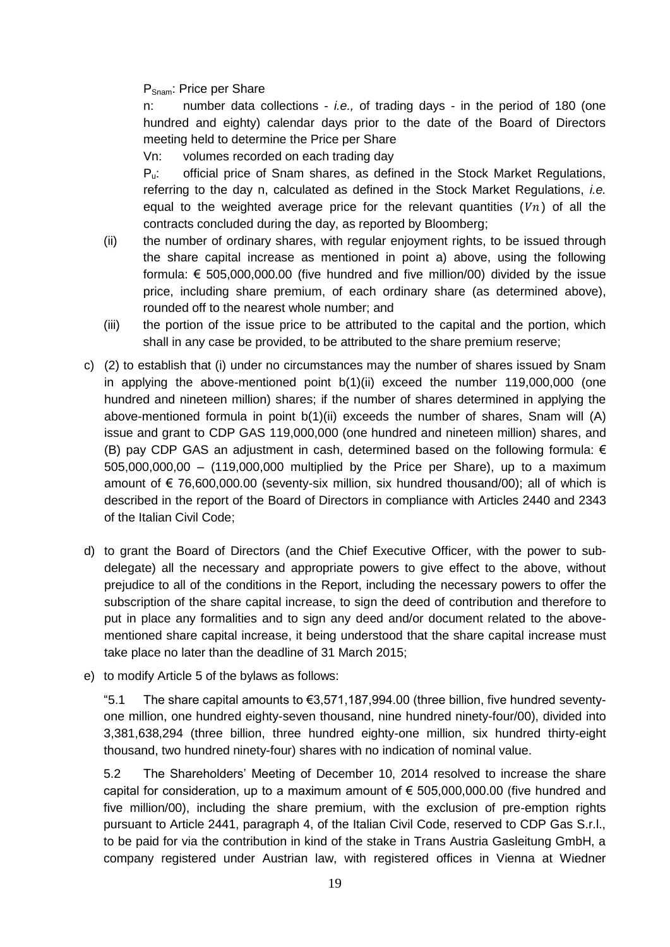#### PSnam: Price per Share

n: number data collections - *i.e.,* of trading days - in the period of 180 (one hundred and eighty) calendar days prior to the date of the Board of Directors meeting held to determine the Price per Share

Vn: volumes recorded on each trading day

Pu: official price of Snam shares, as defined in the Stock Market Regulations, referring to the day n, calculated as defined in the Stock Market Regulations, *i.e.*  equal to the weighted average price for the relevant quantities  $(Vn)$  of all the contracts concluded during the day, as reported by Bloomberg;

- (ii) the number of ordinary shares, with regular enjoyment rights, to be issued through the share capital increase as mentioned in point a) above, using the following formula: € 505,000,000.00 (five hundred and five million/00) divided by the issue price, including share premium, of each ordinary share (as determined above), rounded off to the nearest whole number; and
- (iii) the portion of the issue price to be attributed to the capital and the portion, which shall in any case be provided, to be attributed to the share premium reserve;
- c) (2) to establish that (i) under no circumstances may the number of shares issued by Snam in applying the above-mentioned point b(1)(ii) exceed the number 119,000,000 (one hundred and nineteen million) shares; if the number of shares determined in applying the above-mentioned formula in point b(1)(ii) exceeds the number of shares, Snam will (A) issue and grant to CDP GAS 119,000,000 (one hundred and nineteen million) shares, and (B) pay CDP GAS an adjustment in cash, determined based on the following formula:  $\epsilon$ 505,000,000,00 – (119,000,000 multiplied by the Price per Share), up to a maximum amount of  $\epsilon$  76,600,000.00 (seventy-six million, six hundred thousand/00); all of which is described in the report of the Board of Directors in compliance with Articles 2440 and 2343 of the Italian Civil Code;
- d) to grant the Board of Directors (and the Chief Executive Officer, with the power to subdelegate) all the necessary and appropriate powers to give effect to the above, without prejudice to all of the conditions in the Report, including the necessary powers to offer the subscription of the share capital increase, to sign the deed of contribution and therefore to put in place any formalities and to sign any deed and/or document related to the abovementioned share capital increase, it being understood that the share capital increase must take place no later than the deadline of 31 March 2015;
- e) to modify Article 5 of the bylaws as follows:

"5.1 The share capital amounts to  $€3,571,187,994.00$  (three billion, five hundred seventyone million, one hundred eighty-seven thousand, nine hundred ninety-four/00), divided into 3,381,638,294 (three billion, three hundred eighty-one million, six hundred thirty-eight thousand, two hundred ninety-four) shares with no indication of nominal value.

5.2 The Shareholders' Meeting of December 10, 2014 resolved to increase the share capital for consideration, up to a maximum amount of  $\epsilon$  505,000,000.00 (five hundred and five million/00), including the share premium, with the exclusion of pre-emption rights pursuant to Article 2441, paragraph 4, of the Italian Civil Code, reserved to CDP Gas S.r.l., to be paid for via the contribution in kind of the stake in Trans Austria Gasleitung GmbH, a company registered under Austrian law, with registered offices in Vienna at Wiedner